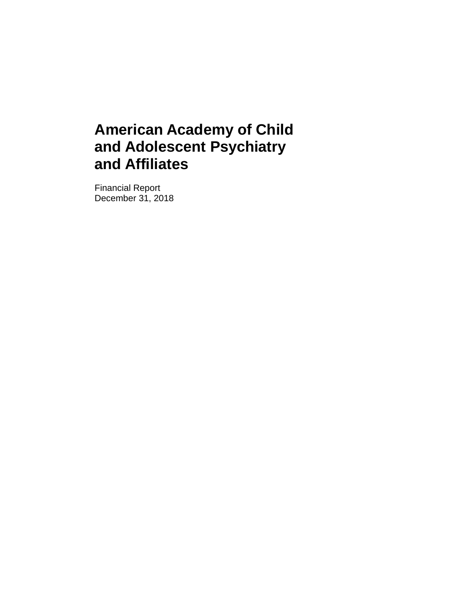Financial Report December 31, 2018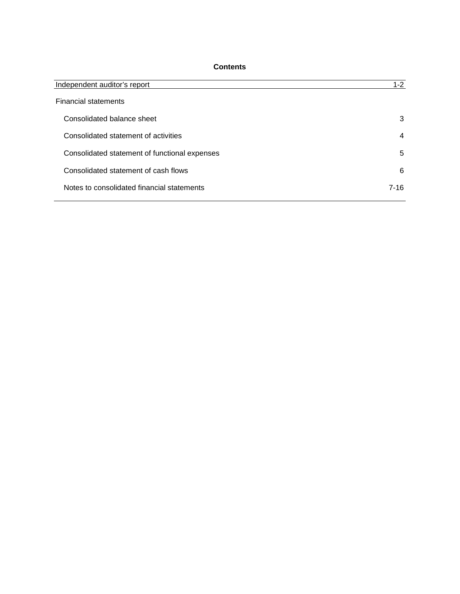# **Contents**

| Independent auditor's report                  | $1 - 2$ |
|-----------------------------------------------|---------|
| <b>Financial statements</b>                   |         |
| Consolidated balance sheet                    | 3       |
| Consolidated statement of activities          | 4       |
| Consolidated statement of functional expenses | 5       |
| Consolidated statement of cash flows          | 6       |
| Notes to consolidated financial statements    | 7-16    |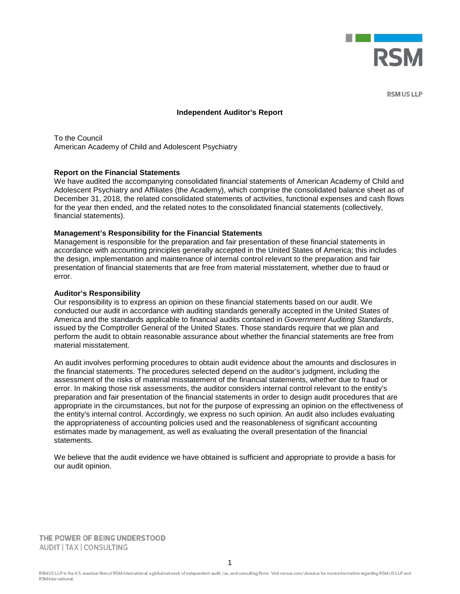

**RSM US LLP** 

#### **Independent Auditor's Report**

To the Council American Academy of Child and Adolescent Psychiatry

#### **Report on the Financial Statements**

We have audited the accompanying consolidated financial statements of American Academy of Child and Adolescent Psychiatry and Affiliates (the Academy), which comprise the consolidated balance sheet as of December 31, 2018, the related consolidated statements of activities, functional expenses and cash flows for the year then ended, and the related notes to the consolidated financial statements (collectively, financial statements).

#### **Management's Responsibility for the Financial Statements**

Management is responsible for the preparation and fair presentation of these financial statements in accordance with accounting principles generally accepted in the United States of America; this includes the design, implementation and maintenance of internal control relevant to the preparation and fair presentation of financial statements that are free from material misstatement, whether due to fraud or error.

#### **Auditor's Responsibility**

Our responsibility is to express an opinion on these financial statements based on our audit. We conducted our audit in accordance with auditing standards generally accepted in the United States of America and the standards applicable to financial audits contained in *Government Auditing Standards*, issued by the Comptroller General of the United States. Those standards require that we plan and perform the audit to obtain reasonable assurance about whether the financial statements are free from material misstatement.

An audit involves performing procedures to obtain audit evidence about the amounts and disclosures in the financial statements. The procedures selected depend on the auditor's judgment, including the assessment of the risks of material misstatement of the financial statements, whether due to fraud or error. In making those risk assessments, the auditor considers internal control relevant to the entity's preparation and fair presentation of the financial statements in order to design audit procedures that are appropriate in the circumstances, but not for the purpose of expressing an opinion on the effectiveness of the entity's internal control. Accordingly, we express no such opinion. An audit also includes evaluating the appropriateness of accounting policies used and the reasonableness of significant accounting estimates made by management, as well as evaluating the overall presentation of the financial statements.

We believe that the audit evidence we have obtained is sufficient and appropriate to provide a basis for our audit opinion.

THE POWER OF BEING UNDERSTOOD AUDIT | TAX | CONSULTING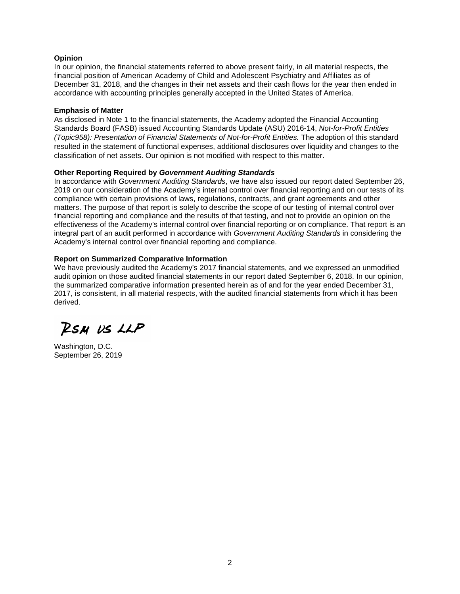# **Opinion**

In our opinion, the financial statements referred to above present fairly, in all material respects, the financial position of American Academy of Child and Adolescent Psychiatry and Affiliates as of December 31, 2018, and the changes in their net assets and their cash flows for the year then ended in accordance with accounting principles generally accepted in the United States of America.

#### **Emphasis of Matter**

As disclosed in Note 1 to the financial statements, the Academy adopted the Financial Accounting Standards Board (FASB) issued Accounting Standards Update (ASU) 2016-14, *Not-for-Profit Entities (Topic958): Presentation of Financial Statements of Not-for-Profit Entities.* The adoption of this standard resulted in the statement of functional expenses, additional disclosures over liquidity and changes to the classification of net assets. Our opinion is not modified with respect to this matter.

# **Other Reporting Required by** *Government Auditing Standards*

In accordance with *Government Auditing Standards*, we have also issued our report dated September 26, 2019 on our consideration of the Academy's internal control over financial reporting and on our tests of its compliance with certain provisions of laws, regulations, contracts, and grant agreements and other matters. The purpose of that report is solely to describe the scope of our testing of internal control over financial reporting and compliance and the results of that testing, and not to provide an opinion on the effectiveness of the Academy's internal control over financial reporting or on compliance. That report is an integral part of an audit performed in accordance with *Government Auditing Standards* in considering the Academy's internal control over financial reporting and compliance.

# **Report on Summarized Comparative Information**

We have previously audited the Academy's 2017 financial statements, and we expressed an unmodified audit opinion on those audited financial statements in our report dated September 6, 2018. In our opinion, the summarized comparative information presented herein as of and for the year ended December 31, 2017, is consistent, in all material respects, with the audited financial statements from which it has been derived.

RSM US LLP

Washington, D.C. September 26, 2019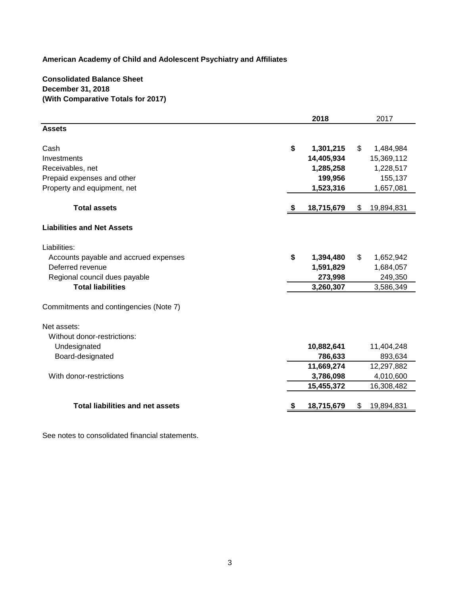# **Consolidated Balance Sheet December 31, 2018 (With Comparative Totals for 2017)**

|                                         |    | 2017       |                  |
|-----------------------------------------|----|------------|------------------|
| <b>Assets</b>                           |    |            |                  |
| Cash                                    | \$ | 1,301,215  | \$<br>1,484,984  |
| Investments                             |    | 14,405,934 | 15,369,112       |
| Receivables, net                        |    | 1,285,258  | 1,228,517        |
| Prepaid expenses and other              |    | 199,956    | 155,137          |
| Property and equipment, net             |    | 1,523,316  | 1,657,081        |
| <b>Total assets</b>                     | -S | 18,715,679 | \$<br>19,894,831 |
| <b>Liabilities and Net Assets</b>       |    |            |                  |
| Liabilities:                            |    |            |                  |
| Accounts payable and accrued expenses   | \$ | 1,394,480  | \$<br>1,652,942  |
| Deferred revenue                        |    | 1,591,829  | 1,684,057        |
| Regional council dues payable           |    | 273,998    | 249,350          |
| <b>Total liabilities</b>                |    | 3,260,307  | 3,586,349        |
| Commitments and contingencies (Note 7)  |    |            |                  |
| Net assets:                             |    |            |                  |
| Without donor-restrictions:             |    |            |                  |
| Undesignated                            |    | 10,882,641 | 11,404,248       |
| Board-designated                        |    | 786,633    | 893,634          |
|                                         |    | 11,669,274 | 12,297,882       |
| With donor-restrictions                 |    | 3,786,098  | 4,010,600        |
|                                         |    | 15,455,372 | 16,308,482       |
| <b>Total liabilities and net assets</b> | \$ | 18,715,679 | \$<br>19,894,831 |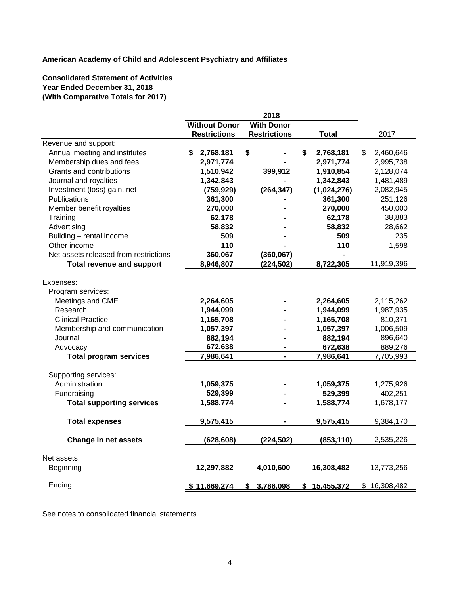# **Consolidated Statement of Activities Year Ended December 31, 2018 (With Comparative Totals for 2017)**

|                                                       | <b>Without Donor</b> |                     |                      |                      |
|-------------------------------------------------------|----------------------|---------------------|----------------------|----------------------|
|                                                       | <b>Restrictions</b>  | <b>Restrictions</b> | <b>Total</b>         | 2017                 |
| Revenue and support:                                  |                      |                     |                      |                      |
| Annual meeting and institutes                         | \$<br>2,768,181      | \$                  | \$<br>2,768,181      | \$<br>2,460,646      |
| Membership dues and fees                              | 2,971,774            |                     | 2,971,774            | 2,995,738            |
| Grants and contributions                              | 1,510,942            | 399,912             | 1,910,854            | 2,128,074            |
| Journal and royalties                                 | 1,342,843            |                     | 1,342,843            | 1,481,489            |
| Investment (loss) gain, net                           | (759, 929)           | (264, 347)          | (1,024,276)          | 2,082,945            |
| Publications                                          | 361,300              |                     | 361,300              | 251,126              |
| Member benefit royalties                              | 270,000              |                     | 270,000              | 450,000              |
| Training                                              | 62,178               |                     | 62,178               | 38,883               |
| Advertising                                           | 58,832               |                     | 58,832               | 28,662               |
| Building - rental income                              | 509                  |                     | 509                  | 235                  |
| Other income                                          | 110                  |                     | 110                  | 1,598                |
| Net assets released from restrictions                 | 360,067              | (360, 067)          | $\blacksquare$       |                      |
| <b>Total revenue and support</b>                      | 8,946,807            | (224, 502)          | 8,722,305            | 11,919,396           |
| Expenses:<br>Program services:<br>Meetings and CME    | 2,264,605            |                     | 2,264,605            | 2,115,262            |
| Research                                              | 1,944,099            |                     | 1,944,099            | 1,987,935            |
| <b>Clinical Practice</b>                              | 1,165,708            |                     | 1,165,708            | 810,371              |
| Membership and communication                          | 1,057,397            |                     | 1,057,397            | 1,006,509            |
| Journal                                               | 882,194              |                     | 882,194              | 896,640              |
| Advocacy                                              | 672,638              |                     | 672,638              | 889,276              |
| <b>Total program services</b>                         | 7,986,641            | $\blacksquare$      | 7,986,641            | 7,705,993            |
| Supporting services:<br>Administration<br>Fundraising | 1,059,375<br>529,399 |                     | 1,059,375<br>529,399 | 1,275,926<br>402,251 |
| <b>Total supporting services</b>                      | 1,588,774            | $\blacksquare$      | 1,588,774            | 1,678,177            |
| <b>Total expenses</b>                                 | 9,575,415            |                     | 9,575,415            | 9,384,170            |
| <b>Change in net assets</b>                           | (628, 608)           | (224, 502)          | (853, 110)           | 2,535,226            |
| Net assets:                                           |                      |                     |                      |                      |
| Beginning                                             | 12,297,882           | 4,010,600           | 16,308,482           | 13,773,256           |
| Ending                                                | \$11,669,274         | \$3,786,098         | \$15,455,372         | \$16,308,482         |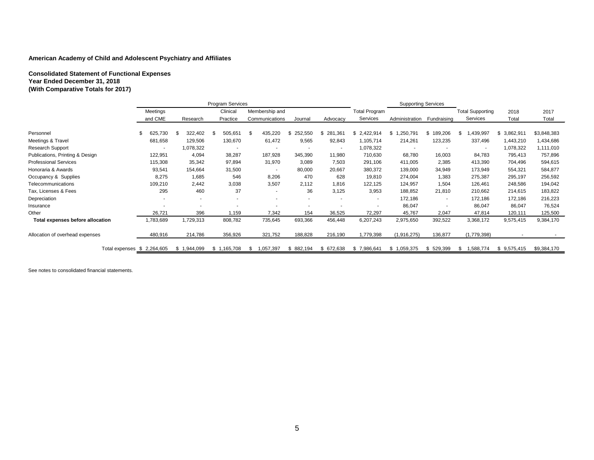**Consolidated Statement of Functional Expenses Year Ended December 31, 2018 (With Comparative Totals for 2017)**

|                                  | <b>Program Services</b>  |                          |              |                          |                |                          | <b>Supporting Services</b> |                          |               |                         |                 |             |
|----------------------------------|--------------------------|--------------------------|--------------|--------------------------|----------------|--------------------------|----------------------------|--------------------------|---------------|-------------------------|-----------------|-------------|
|                                  | Meetings                 |                          | Clinical     | Membership and           |                |                          | <b>Total Program</b>       |                          |               | <b>Total Supporting</b> | 2018            | 2017        |
|                                  | and CME                  | Research                 | Practice     | Communications           | Journal        | Advocacy                 | Services                   | Administration           | Fundraising   | Services                | Total           | Total       |
|                                  |                          |                          |              |                          |                |                          |                            |                          |               |                         |                 |             |
| Personnel                        | 625,730                  | 322,402                  | 505,651<br>S | 435,220<br>\$            | 252,550<br>\$. | 281,361<br>\$            | 2,422,914<br>\$            | ,250,791<br>\$.          | \$189,206     | ,439,997<br>S.          | 3,862,911<br>\$ | \$3,848,383 |
| Meetings & Travel                | 681,658                  | 129,506                  | 130,670      | 61,472                   | 9,565          | 92,843                   | 1,105,714                  | 214,261                  | 123,235       | 337,496                 | 1,443,210       | 1,434,686   |
| <b>Research Support</b>          |                          | 1,078,322                |              |                          |                |                          | 1,078,322                  | $\overline{\phantom{a}}$ |               |                         | 1,078,322       | 1,111,010   |
| Publications, Printing & Design  | 122,951                  | 4,094                    | 38,287       | 187,928                  | 345,390        | 11,980                   | 710,630                    | 68,780                   | 16,003        | 84,783                  | 795,413         | 757,896     |
| <b>Professional Services</b>     | 115,308                  | 35,342                   | 97,894       | 31,970                   | 3,089          | 7,503                    | 291,106                    | 411,005                  | 2,385         | 413,390                 | 704,496         | 594,615     |
| Honoraria & Awards               | 93,541                   | 154,664                  | 31,500       |                          | 80,000         | 20,667                   | 380,372                    | 139,000                  | 34,949        | 173,949                 | 554,321         | 584,877     |
| Occupancy & Supplies             | 8,275                    | 1,685                    | 546          | 8,206                    | 470            | 628                      | 19,810                     | 274,004                  | 1,383         | 275,387                 | 295,197         | 256,592     |
| Telecommunications               | 109,210                  | 2,442                    | 3,038        | 3,507                    | 2,112          | 1,816                    | 122,125                    | 124,957                  | 1,504         | 126,461                 | 248,586         | 194,042     |
| Tax, Licenses & Fees             | 295                      | 460                      | 37           | $\overline{\phantom{a}}$ | 36             | 3,125                    | 3,953                      | 188,852                  | 21,810        | 210,662                 | 214,615         | 183,822     |
| Depreciation                     | $\overline{\phantom{a}}$ | $\overline{\phantom{a}}$ | ٠            | ٠                        | ٠              | $\overline{\phantom{a}}$ | $\overline{\phantom{a}}$   | 172,186                  | $\sim$        | 172,186                 | 172,186         | 216,223     |
| Insurance                        |                          | ۰                        |              |                          |                |                          |                            | 86,047                   | ٠             | 86,047                  | 86,047          | 76,524      |
| Other                            | 26,721                   | 396                      | ,159         | 7,342                    | 154            | 36,525                   | 72,297                     | 45,767                   | 2,047         | 47,814                  | 120,111         | 125,500     |
| Total expenses before allocation | 1,783,689                | 1,729,313                | 808,782      | 735,645                  | 693,366        | 456,448                  | 6,207,243                  | 2,975,650                | 392,522       | 3,368,172               | 9,575,415       | 9,384,170   |
| Allocation of overhead expenses  | 480,916                  | 214,786                  | 356,926      | 321,752                  | 188,828        | 216,190                  | 1,779,398                  | (1,916,275)              | 136,877       | (1,779,398)             |                 |             |
| Total expenses \$ 2,264,605      |                          | \$1,944,099              | \$1,165,708  | 1,057,397<br>S.          | \$ 882,194     | \$672,638                | \$7,986,641                | \$1,059,375              | 529,399<br>\$ | \$<br>1,588,774         | \$9,575,415     | \$9,384,170 |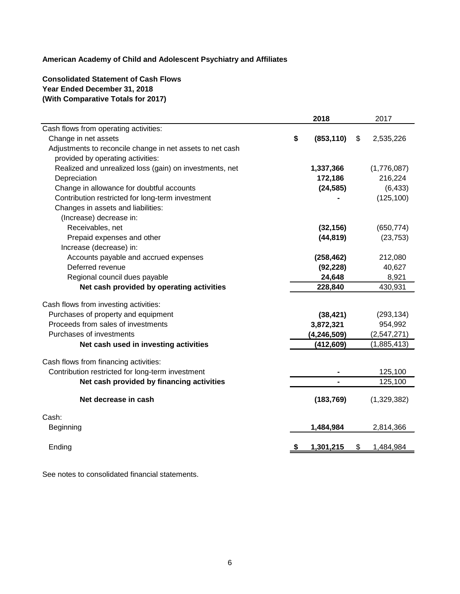# **Consolidated Statement of Cash Flows Year Ended December 31, 2018 (With Comparative Totals for 2017)**

|                                                           | 2018             |    | 2017        |
|-----------------------------------------------------------|------------------|----|-------------|
| Cash flows from operating activities:                     |                  |    |             |
| Change in net assets                                      | \$<br>(853, 110) | \$ | 2,535,226   |
| Adjustments to reconcile change in net assets to net cash |                  |    |             |
| provided by operating activities:                         |                  |    |             |
| Realized and unrealized loss (gain) on investments, net   | 1,337,366        |    | (1,776,087) |
| Depreciation                                              | 172,186          |    | 216,224     |
| Change in allowance for doubtful accounts                 | (24, 585)        |    | (6, 433)    |
| Contribution restricted for long-term investment          |                  |    | (125, 100)  |
| Changes in assets and liabilities:                        |                  |    |             |
| (Increase) decrease in:                                   |                  |    |             |
| Receivables, net                                          | (32, 156)        |    | (650, 774)  |
| Prepaid expenses and other                                | (44, 819)        |    | (23, 753)   |
| Increase (decrease) in:                                   |                  |    |             |
| Accounts payable and accrued expenses                     | (258, 462)       |    | 212,080     |
| Deferred revenue                                          | (92, 228)        |    | 40,627      |
| Regional council dues payable                             | 24,648           |    | 8,921       |
| Net cash provided by operating activities                 | 228,840          |    | 430,931     |
| Cash flows from investing activities:                     |                  |    |             |
| Purchases of property and equipment                       | (38, 421)        |    | (293, 134)  |
| Proceeds from sales of investments                        | 3,872,321        |    | 954,992     |
| Purchases of investments                                  | (4, 246, 509)    |    | (2,547,271) |
| Net cash used in investing activities                     | (412, 609)       |    | (1,885,413) |
| Cash flows from financing activities:                     |                  |    |             |
| Contribution restricted for long-term investment          |                  |    | 125,100     |
| Net cash provided by financing activities                 |                  |    | 125,100     |
| Net decrease in cash                                      | (183, 769)       |    | (1,329,382) |
|                                                           |                  |    |             |
| Cash:                                                     |                  |    |             |
| <b>Beginning</b>                                          | 1,484,984        |    | 2,814,366   |
| Ending                                                    | 1,301,215        | S. | 1,484,984   |
|                                                           |                  |    |             |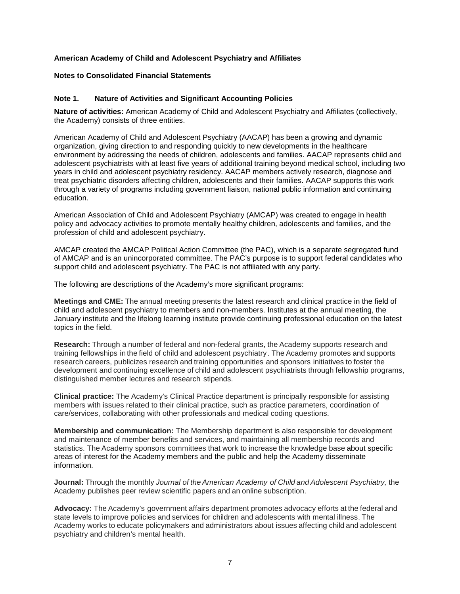#### **Notes to Consolidated Financial Statements**

# **Note 1. Nature of Activities and Significant Accounting Policies**

**Nature of activities:** American Academy of Child and Adolescent Psychiatry and Affiliates (collectively, the Academy) consists of three entities.

American Academy of Child and Adolescent Psychiatry (AACAP) has been a growing and dynamic organization, giving direction to and responding quickly to new developments in the healthcare environment by addressing the needs of children, adolescents and families. AACAP represents child and adolescent psychiatrists with at least five years of additional training beyond medical school, including two years in child and adolescent psychiatry residency. AACAP members actively research, diagnose and treat psychiatric disorders affecting children, adolescents and their families. AACAP supports this work through a variety of programs including government liaison, national public information and continuing education.

American Association of Child and Adolescent Psychiatry (AMCAP) was created to engage in health policy and advocacy activities to promote mentally healthy children, adolescents and families, and the profession of child and adolescent psychiatry.

AMCAP created the AMCAP Political Action Committee (the PAC), which is a separate segregated fund of AMCAP and is an unincorporated committee. The PAC's purpose is to support federal candidates who support child and adolescent psychiatry. The PAC is not affiliated with any party.

The following are descriptions of the Academy's more significant programs:

**Meetings and CME:** The annual meeting presents the latest research and clinical practice in the field of child and adolescent psychiatry to members and non-members. Institutes at the annual meeting, the January institute and the lifelong learning institute provide continuing professional education on the latest topics in the field.

**Research:** Through a number of federal and non-federal grants, the Academy supports research and training fellowships in the field of child and adolescent psychiatry. The Academy promotes and supports research careers, publicizes research and training opportunities and sponsors initiatives to foster the development and continuing excellence of child and adolescent psychiatrists through fellowship programs, distinguished member lectures and research stipends.

**Clinical practice:** The Academy's Clinical Practice department is principally responsible for assisting members with issues related to their clinical practice, such as practice parameters, coordination of care/services, collaborating with other professionals and medical coding questions.

**Membership and communication:** The Membership department is also responsible for development and maintenance of member benefits and services, and maintaining all membership records and statistics. The Academy sponsors committees that work to increase the knowledge base about specific areas of interest for the Academy members and the public and help the Academy disseminate information.

**Journal:** Through the monthly *Journal of the American Academy of Child and Adolescent Psychiatry,* the Academy publishes peer review scientific papers and an online subscription.

**Advocacy:** The Academy's government affairs department promotes advocacy efforts at the federal and state levels to improve policies and services for children and adolescents with mental illness. The Academy works to educate policymakers and administrators about issues affecting child and adolescent psychiatry and children's mental health.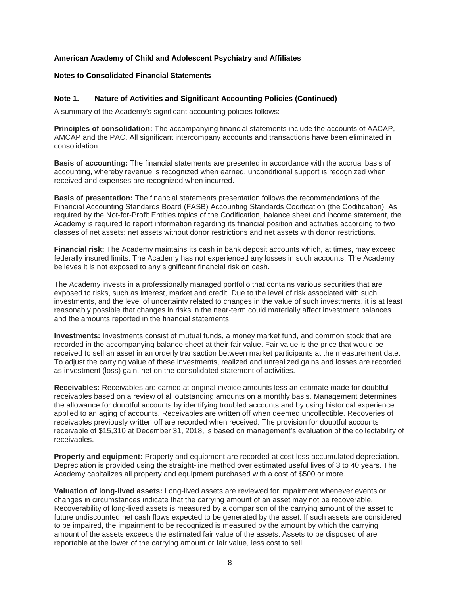#### **Notes to Consolidated Financial Statements**

#### **Note 1. Nature of Activities and Significant Accounting Policies (Continued)**

A summary of the Academy's significant accounting policies follows:

**Principles of consolidation:** The accompanying financial statements include the accounts of AACAP, AMCAP and the PAC. All significant intercompany accounts and transactions have been eliminated in consolidation.

**Basis of accounting:** The financial statements are presented in accordance with the accrual basis of accounting, whereby revenue is recognized when earned, unconditional support is recognized when received and expenses are recognized when incurred.

**Basis of presentation:** The financial statements presentation follows the recommendations of the Financial Accounting Standards Board (FASB) Accounting Standards Codification (the Codification). As required by the Not-for-Profit Entities topics of the Codification, balance sheet and income statement, the Academy is required to report information regarding its financial position and activities according to two classes of net assets: net assets without donor restrictions and net assets with donor restrictions.

**Financial risk:** The Academy maintains its cash in bank deposit accounts which, at times, may exceed federally insured limits. The Academy has not experienced any losses in such accounts. The Academy believes it is not exposed to any significant financial risk on cash.

The Academy invests in a professionally managed portfolio that contains various securities that are exposed to risks, such as interest, market and credit. Due to the level of risk associated with such investments, and the level of uncertainty related to changes in the value of such investments, it is at least reasonably possible that changes in risks in the near-term could materially affect investment balances and the amounts reported in the financial statements.

**Investments:** Investments consist of mutual funds, a money market fund, and common stock that are recorded in the accompanying balance sheet at their fair value. Fair value is the price that would be received to sell an asset in an orderly transaction between market participants at the measurement date. To adjust the carrying value of these investments, realized and unrealized gains and losses are recorded as investment (loss) gain, net on the consolidated statement of activities.

**Receivables:** Receivables are carried at original invoice amounts less an estimate made for doubtful receivables based on a review of all outstanding amounts on a monthly basis. Management determines the allowance for doubtful accounts by identifying troubled accounts and by using historical experience applied to an aging of accounts. Receivables are written off when deemed uncollectible. Recoveries of receivables previously written off are recorded when received. The provision for doubtful accounts receivable of \$15,310 at December 31, 2018, is based on management's evaluation of the collectability of receivables.

**Property and equipment:** Property and equipment are recorded at cost less accumulated depreciation. Depreciation is provided using the straight-line method over estimated useful lives of 3 to 40 years. The Academy capitalizes all property and equipment purchased with a cost of \$500 or more.

**Valuation of long-lived assets:** Long-lived assets are reviewed for impairment whenever events or changes in circumstances indicate that the carrying amount of an asset may not be recoverable. Recoverability of long-lived assets is measured by a comparison of the carrying amount of the asset to future undiscounted net cash flows expected to be generated by the asset. If such assets are considered to be impaired, the impairment to be recognized is measured by the amount by which the carrying amount of the assets exceeds the estimated fair value of the assets. Assets to be disposed of are reportable at the lower of the carrying amount or fair value, less cost to sell.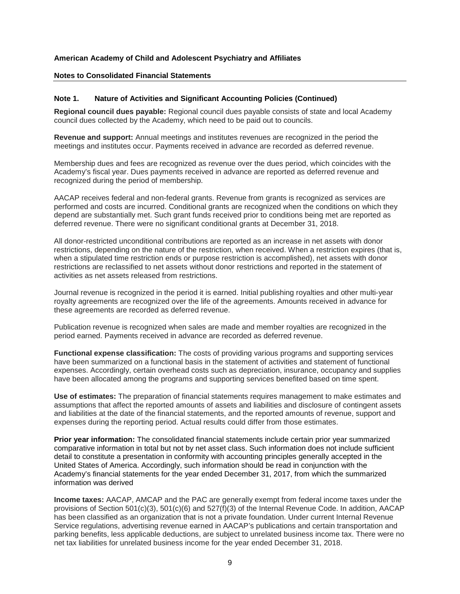#### **Notes to Consolidated Financial Statements**

## **Note 1. Nature of Activities and Significant Accounting Policies (Continued)**

**Regional council dues payable:** Regional council dues payable consists of state and local Academy council dues collected by the Academy, which need to be paid out to councils.

**Revenue and support:** Annual meetings and institutes revenues are recognized in the period the meetings and institutes occur. Payments received in advance are recorded as deferred revenue.

Membership dues and fees are recognized as revenue over the dues period, which coincides with the Academy's fiscal year. Dues payments received in advance are reported as deferred revenue and recognized during the period of membership.

AACAP receives federal and non-federal grants. Revenue from grants is recognized as services are performed and costs are incurred. Conditional grants are recognized when the conditions on which they depend are substantially met. Such grant funds received prior to conditions being met are reported as deferred revenue. There were no significant conditional grants at December 31, 2018.

All donor-restricted unconditional contributions are reported as an increase in net assets with donor restrictions, depending on the nature of the restriction, when received. When a restriction expires (that is, when a stipulated time restriction ends or purpose restriction is accomplished), net assets with donor restrictions are reclassified to net assets without donor restrictions and reported in the statement of activities as net assets released from restrictions.

Journal revenue is recognized in the period it is earned. Initial publishing royalties and other multi-year royalty agreements are recognized over the life of the agreements. Amounts received in advance for these agreements are recorded as deferred revenue.

Publication revenue is recognized when sales are made and member royalties are recognized in the period earned. Payments received in advance are recorded as deferred revenue.

**Functional expense classification:** The costs of providing various programs and supporting services have been summarized on a functional basis in the statement of activities and statement of functional expenses. Accordingly, certain overhead costs such as depreciation, insurance, occupancy and supplies have been allocated among the programs and supporting services benefited based on time spent.

**Use of estimates:** The preparation of financial statements requires management to make estimates and assumptions that affect the reported amounts of assets and liabilities and disclosure of contingent assets and liabilities at the date of the financial statements, and the reported amounts of revenue, support and expenses during the reporting period. Actual results could differ from those estimates.

**Prior year information:** The consolidated financial statements include certain prior year summarized comparative information in total but not by net asset class. Such information does not include sufficient detail to constitute a presentation in conformity with accounting principles generally accepted in the United States of America. Accordingly, such information should be read in conjunction with the Academy's financial statements for the year ended December 31, 2017, from which the summarized information was derived

**Income taxes:** AACAP, AMCAP and the PAC are generally exempt from federal income taxes under the provisions of Section 501(c)(3), 501(c)(6) and 527(f)(3) of the Internal Revenue Code. In addition, AACAP has been classified as an organization that is not a private foundation. Under current Internal Revenue Service regulations, advertising revenue earned in AACAP's publications and certain transportation and parking benefits, less applicable deductions, are subject to unrelated business income tax. There were no net tax liabilities for unrelated business income for the year ended December 31, 2018.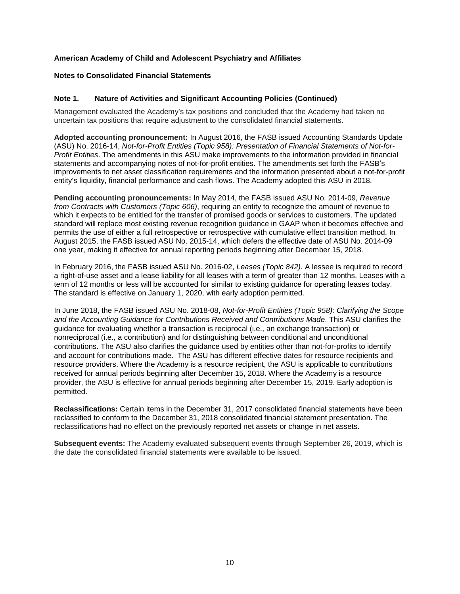#### **Notes to Consolidated Financial Statements**

## **Note 1. Nature of Activities and Significant Accounting Policies (Continued)**

Management evaluated the Academy's tax positions and concluded that the Academy had taken no uncertain tax positions that require adjustment to the consolidated financial statements.

**Adopted accounting pronouncement:** In August 2016, the FASB issued Accounting Standards Update (ASU) No. 2016-14, *Not-for-Profit Entities (Topic 958): Presentation of Financial Statements of Not-for-Profit Entities*. The amendments in this ASU make improvements to the information provided in financial statements and accompanying notes of not-for-profit entities. The amendments set forth the FASB's improvements to net asset classification requirements and the information presented about a not-for-profit entity's liquidity, financial performance and cash flows. The Academy adopted this ASU in 2018.

**Pending accounting pronouncements:** In May 2014, the FASB issued ASU No. 2014-09, *Revenue from Contracts with Customers (Topic 606)*, requiring an entity to recognize the amount of revenue to which it expects to be entitled for the transfer of promised goods or services to customers. The updated standard will replace most existing revenue recognition guidance in GAAP when it becomes effective and permits the use of either a full retrospective or retrospective with cumulative effect transition method. In August 2015, the FASB issued ASU No. 2015-14, which defers the effective date of ASU No. 2014-09 one year, making it effective for annual reporting periods beginning after December 15, 2018.

In February 2016, the FASB issued ASU No. 2016-02, *Leases (Topic 842).* A lessee is required to record a right-of-use asset and a lease liability for all leases with a term of greater than 12 months. Leases with a term of 12 months or less will be accounted for similar to existing guidance for operating leases today. The standard is effective on January 1, 2020, with early adoption permitted.

In June 2018, the FASB issued ASU No. 2018-08, *Not-for-Profit Entities (Topic 958): Clarifying the Scope and the Accounting Guidance for Contributions Received and Contributions Made*. This ASU clarifies the guidance for evaluating whether a transaction is reciprocal (i.e., an exchange transaction) or nonreciprocal (i.e., a contribution) and for distinguishing between conditional and unconditional contributions. The ASU also clarifies the guidance used by entities other than not-for-profits to identify and account for contributions made. The ASU has different effective dates for resource recipients and resource providers. Where the Academy is a resource recipient, the ASU is applicable to contributions received for annual periods beginning after December 15, 2018. Where the Academy is a resource provider, the ASU is effective for annual periods beginning after December 15, 2019. Early adoption is permitted.

**Reclassifications:** Certain items in the December 31, 2017 consolidated financial statements have been reclassified to conform to the December 31, 2018 consolidated financial statement presentation. The reclassifications had no effect on the previously reported net assets or change in net assets.

**Subsequent events:** The Academy evaluated subsequent events through September 26, 2019, which is the date the consolidated financial statements were available to be issued.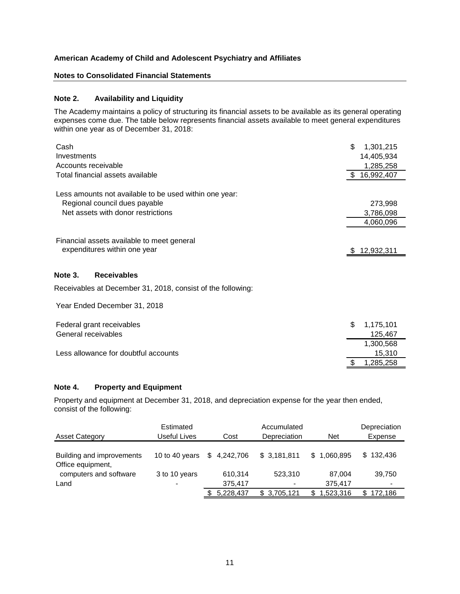#### **Notes to Consolidated Financial Statements**

# **Note 2. Availability and Liquidity**

The Academy maintains a policy of structuring its financial assets to be available as its general operating expenses come due. The table below represents financial assets available to meet general expenditures within one year as of December 31, 2018:

| Cash<br>Investments<br>Accounts receivable<br>Total financial assets available | \$<br>1,301,215<br>14,405,934<br>1,285,258<br>16,992,407<br>-S |
|--------------------------------------------------------------------------------|----------------------------------------------------------------|
| Less amounts not available to be used within one year:                         |                                                                |
| Regional council dues payable                                                  | 273,998                                                        |
| Net assets with donor restrictions                                             | 3,786,098                                                      |
|                                                                                | 4,060,096                                                      |
| Financial assets available to meet general<br>expenditures within one year     | 12,932,311                                                     |
| Note 3.<br><b>Receivables</b>                                                  |                                                                |
| Receivables at December 31, 2018, consist of the following:                    |                                                                |
| Year Ended December 31, 2018                                                   |                                                                |

| Federal grant receivables            | \$1.175.101 |
|--------------------------------------|-------------|
| General receivables                  | 125.467     |
|                                      | 1.300.568   |
| Less allowance for doubtful accounts | 15.310      |
|                                      | .285,258,   |

# **Note 4. Property and Equipment**

Property and equipment at December 31, 2018, and depreciation expense for the year then ended, consist of the following:

| <b>Asset Category</b>                          | Estimated<br>Useful Lives | Cost                 | Accumulated<br>Depreciation | <b>Net</b>                 | Depreciation<br>Expense |
|------------------------------------------------|---------------------------|----------------------|-----------------------------|----------------------------|-------------------------|
| Building and improvements<br>Office equipment, | 10 to 40 years            | \$4.242.706          | \$3,181,811                 | \$1,060,895                | \$132,436               |
| computers and software                         | 3 to 10 years             | 610,314              | 523.310                     | 87.004                     | 39,750                  |
| Land                                           |                           | 375,417<br>5,228,437 | \$3,705,121                 | 375,417<br>1,523,316<br>S. | 172.186<br>\$.          |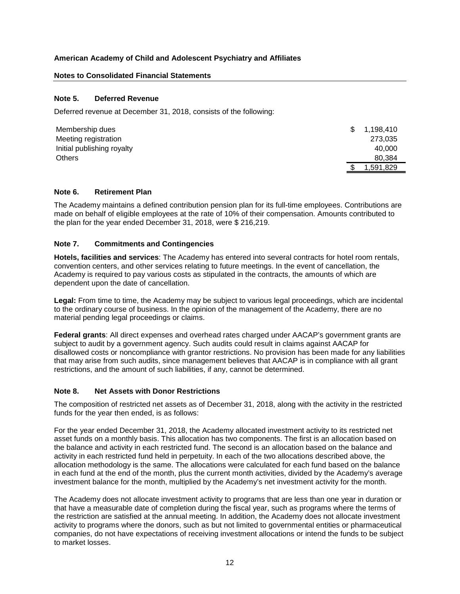#### **Notes to Consolidated Financial Statements**

# **Note 5. Deferred Revenue**

Deferred revenue at December 31, 2018, consists of the following:

| Membership dues            | \$. | 1,198,410 |
|----------------------------|-----|-----------|
| Meeting registration       |     | 273,035   |
| Initial publishing royalty |     | 40,000    |
| <b>Others</b>              |     | 80.384    |
|                            |     | 1,591,829 |

# **Note 6. Retirement Plan**

The Academy maintains a defined contribution pension plan for its full-time employees. Contributions are made on behalf of eligible employees at the rate of 10% of their compensation. Amounts contributed to the plan for the year ended December 31, 2018, were \$ 216,219.

# **Note 7. Commitments and Contingencies**

**Hotels, facilities and services**: The Academy has entered into several contracts for hotel room rentals, convention centers, and other services relating to future meetings. In the event of cancellation, the Academy is required to pay various costs as stipulated in the contracts, the amounts of which are dependent upon the date of cancellation.

**Legal:** From time to time, the Academy may be subject to various legal proceedings, which are incidental to the ordinary course of business. In the opinion of the management of the Academy, there are no material pending legal proceedings or claims.

**Federal grants**: All direct expenses and overhead rates charged under AACAP's government grants are subject to audit by a government agency. Such audits could result in claims against AACAP for disallowed costs or noncompliance with grantor restrictions. No provision has been made for any liabilities that may arise from such audits, since management believes that AACAP is in compliance with all grant restrictions, and the amount of such liabilities, if any, cannot be determined.

#### **Note 8. Net Assets with Donor Restrictions**

The composition of restricted net assets as of December 31, 2018, along with the activity in the restricted funds for the year then ended, is as follows:

For the year ended December 31, 2018, the Academy allocated investment activity to its restricted net asset funds on a monthly basis. This allocation has two components. The first is an allocation based on the balance and activity in each restricted fund. The second is an allocation based on the balance and activity in each restricted fund held in perpetuity. In each of the two allocations described above, the allocation methodology is the same. The allocations were calculated for each fund based on the balance in each fund at the end of the month, plus the current month activities, divided by the Academy's average investment balance for the month, multiplied by the Academy's net investment activity for the month.

The Academy does not allocate investment activity to programs that are less than one year in duration or that have a measurable date of completion during the fiscal year, such as programs where the terms of the restriction are satisfied at the annual meeting. In addition, the Academy does not allocate investment activity to programs where the donors, such as but not limited to governmental entities or pharmaceutical companies, do not have expectations of receiving investment allocations or intend the funds to be subject to market losses.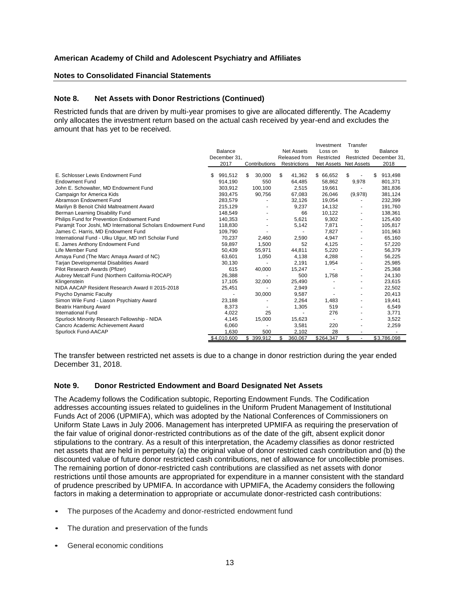#### **Notes to Consolidated Financial Statements**

#### **Note 8. Net Assets with Donor Restrictions (Continued)**

Restricted funds that are driven by multi-year promises to give are allocated differently. The Academy only allocates the investment return based on the actual cash received by year-end and excludes the amount that has yet to be received.

|                                                               |               |               |                   | Investment               | Transfer          |                         |
|---------------------------------------------------------------|---------------|---------------|-------------------|--------------------------|-------------------|-------------------------|
|                                                               | Balance       |               | <b>Net Assets</b> | Loss on                  | to                | Balance                 |
|                                                               | December 31,  |               | Released from     | Restricted               |                   | Restricted December 31, |
|                                                               | 2017          | Contributions | Restrictions      | Net Assets               | <b>Net Assets</b> | 2018                    |
| E. Schlosser Lewis Endowment Fund                             | \$<br>991,512 | \$<br>30,000  | \$<br>41,362      | \$ 66,652                | \$                | \$<br>913,498           |
| <b>Endowment Fund</b>                                         | 914,190       | 550           | 64,485            | 58,862                   | 9,978             | 801,371                 |
| John E. Schowalter, MD Endowment Fund                         | 303,912       | 100,100       | 2,515             | 19,661                   |                   | 381,836                 |
| Campaign for America Kids                                     | 393,475       | 90,756        | 67,083            | 26,046                   | (9,978)           | 381,124                 |
| Abramson Endowment Fund                                       | 283,579       |               | 32,126            | 19,054                   | ٠                 | 232,399                 |
| Marilyn B Benoit Child Maltreatment Award                     | 215,129       |               | 9,237             | 14,132                   |                   | 191,760                 |
| Berman Learning Disability Fund                               | 148,549       | ٠             | 66                | 10.122                   | ٠                 | 138,361                 |
| Philips Fund for Prevention Endowment Fund                    | 140,353       |               | 5,621             | 9,302                    | ٠                 | 125,430                 |
| Paramjit Toor Joshi, MD International Scholars Endowment Fund | 118,830       |               | 5,142             | 7,871                    |                   | 105,817                 |
| James C. Harris, MD Endowment Fund                            | 109,790       |               |                   | 7,827                    | ٠                 | 101,963                 |
| International Fund - Ulku Ulgur, MD Int'l Scholar Fund        | 70,237        | 2,460         | 2,590             | 4,947                    | ٠                 | 65,160                  |
| E. James Anthony Endowment Fund                               | 59,897        | 1,500         | 52                | 4,125                    | ٠                 | 57,220                  |
| Life Member Fund                                              | 50,439        | 55,971        | 44,811            | 5,220                    | ٠                 | 56,379                  |
| Amaya Fund (The Marc Amaya Award of NC)                       | 63,601        | 1,050         | 4,138             | 4,288                    |                   | 56,225                  |
| Tarjan Developmental Disabilities Award                       | 30,130        |               | 2,191             | 1,954                    |                   | 25,985                  |
| Pilot Research Awards (Pfizer)                                | 615           | 40,000        | 15,247            |                          | ٠                 | 25,368                  |
| Aubrey Metcalf Fund (Northern California-ROCAP)               | 26,388        | ٠             | 500               | 1,758                    | ٠                 | 24,130                  |
| Klingenstein                                                  | 17,105        | 32,000        | 25,490            |                          |                   | 23,615                  |
| NIDA AACAP Resident Research Award II 2015-2018               | 25,451        |               | 2,949             |                          | ۰                 | 22,502                  |
| Psycho Dynamic Faculty                                        |               | 30,000        | 9,587             |                          | ×                 | 20,413                  |
| Simon Wile Fund - Liason Psychiatry Award                     | 23,188        |               | 2.264             | 1,483                    | ٠                 | 19,441                  |
| Beatrix Hamburg Award                                         | 8,373         |               | 1,305             | 519                      |                   | 6,549                   |
| <b>International Fund</b>                                     | 4,022         | 25            |                   | 276                      |                   | 3,771                   |
| Spurlock Minority Research Fellowship - NIDA                  | 4,145         | 15,000        | 15,623            | $\overline{\phantom{a}}$ | ٠                 | 3,522                   |
| Cancro Academic Achievement Award                             | 6,060         |               | 3,581             | 220                      |                   | 2,259                   |
| Spurlock Fund-AACAP                                           | 1,630         | 500           | 2,102             | 28                       |                   |                         |
|                                                               | \$4,010,600   | \$399,912     | \$<br>360,067     | \$264,347                | \$<br>$\sim$      | \$3,786,098             |

The transfer between restricted net assets is due to a change in donor restriction during the year ended December 31, 2018.

#### **Note 9. Donor Restricted Endowment and Board Designated Net Assets**

The Academy follows the Codification subtopic, Reporting Endowment Funds. The Codification addresses accounting issues related to guidelines in the Uniform Prudent Management of Institutional Funds Act of 2006 (UPMIFA), which was adopted by the National Conferences of Commissioners on Uniform State Laws in July 2006. Management has interpreted UPMIFA as requiring the preservation of the fair value of original donor-restricted contributions as of the date of the gift, absent explicit donor stipulations to the contrary. As a result of this interpretation, the Academy classifies as donor restricted net assets that are held in perpetuity (a) the original value of donor restricted cash contribution and (b) the discounted value of future donor restricted cash contributions, net of allowance for uncollectible promises. The remaining portion of donor-restricted cash contributions are classified as net assets with donor restrictions until those amounts are appropriated for expenditure in a manner consistent with the standard of prudence prescribed by UPMIFA. In accordance with UPMIFA, the Academy considers the following factors in making a determination to appropriate or accumulate donor-restricted cash contributions:

- The purposes of the Academy and donor-restricted endowment fund
- The duration and preservation of the funds
- General economic conditions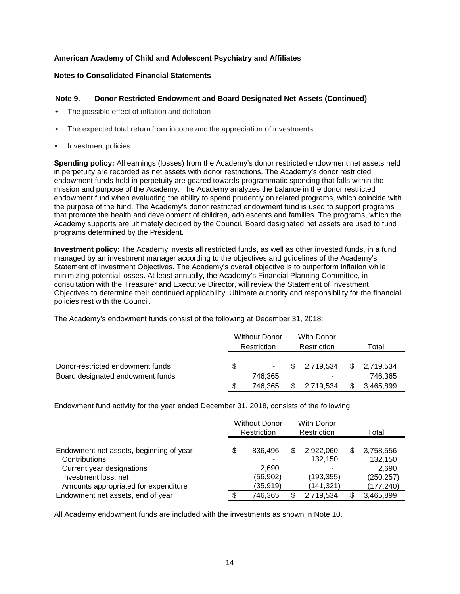# **Notes to Consolidated Financial Statements**

# **Note 9. Donor Restricted Endowment and Board Designated Net Assets (Continued)**

- The possible effect of inflation and deflation
- The expected total return from income and the appreciation of investments
- Investment policies

**Spending policy:** All earnings (losses) from the Academy's donor restricted endowment net assets held in perpetuity are recorded as net assets with donor restrictions. The Academy's donor restricted endowment funds held in perpetuity are geared towards programmatic spending that falls within the mission and purpose of the Academy. The Academy analyzes the balance in the donor restricted endowment fund when evaluating the ability to spend prudently on related programs, which coincide with the purpose of the fund. The Academy's donor restricted endowment fund is used to support programs that promote the health and development of children, adolescents and families. The programs, which the Academy supports are ultimately decided by the Council. Board designated net assets are used to fund programs determined by the President.

**Investment policy**: The Academy invests all restricted funds, as well as other invested funds, in a fund managed by an investment manager according to the objectives and guidelines of the Academy's Statement of Investment Objectives. The Academy's overall objective is to outperform inflation while minimizing potential losses. At least annually, the Academy's Financial Planning Committee, in consultation with the Treasurer and Executive Director, will review the Statement of Investment Objectives to determine their continued applicability. Ultimate authority and responsibility for the financial policies rest with the Council.

The Academy's endowment funds consist of the following at December 31, 2018:

|                                  | <b>Without Donor</b> |             |  | With Donor  |              |
|----------------------------------|----------------------|-------------|--|-------------|--------------|
|                                  |                      | Restriction |  | Restriction | Total        |
|                                  |                      |             |  |             |              |
| Donor-restricted endowment funds | \$                   | $\sim 100$  |  | \$2,719,534 | \$ 2.719.534 |
| Board designated endowment funds |                      | 746.365     |  | -           | 746,365      |
|                                  | \$                   | 746.365     |  | 2.719.534   | 3,465,899    |

Endowment fund activity for the year ended December 31, 2018, consists of the following:

|                                                          | <b>Without Donor</b><br>Restriction |   | With Donor<br>Restriction |    | Total                |
|----------------------------------------------------------|-------------------------------------|---|---------------------------|----|----------------------|
| Endowment net assets, beginning of year<br>Contributions | \$<br>836,496                       | S | 2.922.060<br>132.150      | S. | 3,758,556<br>132,150 |
| Current year designations<br>Investment loss, net        | 2,690<br>(56,902)                   |   | (193, 355)                |    | 2.690<br>(250, 257)  |
| Amounts appropriated for expenditure                     | (35,919)                            |   | (141,321)                 |    | (177, 240)           |
| Endowment net assets, end of year                        | 746.365                             |   | 2,719,534                 |    | 3,465,899            |

All Academy endowment funds are included with the investments as shown in Note 10.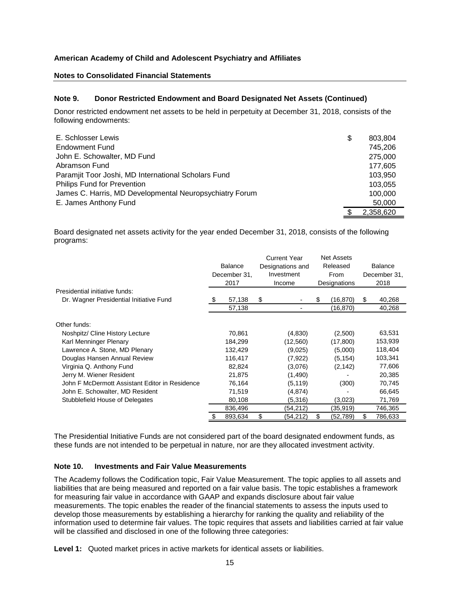#### **Notes to Consolidated Financial Statements**

# **Note 9. Donor Restricted Endowment and Board Designated Net Assets (Continued)**

Donor restricted endowment net assets to be held in perpetuity at December 31, 2018, consists of the following endowments:

| E. Schlosser Lewis                                      | \$<br>803.804 |
|---------------------------------------------------------|---------------|
| <b>Endowment Fund</b>                                   | 745,206       |
| John E. Schowalter, MD Fund                             | 275,000       |
| Abramson Fund                                           | 177,605       |
| Paramjit Toor Joshi, MD International Scholars Fund     | 103,950       |
| <b>Philips Fund for Prevention</b>                      | 103,055       |
| James C. Harris, MD Developmental Neuropsychiatry Forum | 100,000       |
| E. James Anthony Fund                                   | 50,000        |
|                                                         | 2,358,620     |

Board designated net assets activity for the year ended December 31, 2018, consists of the following programs:

|                                                | <b>Balance</b><br>December 31,<br>2017 |         | Current Year<br>Designations and<br>Investment<br>Income |          | <b>Net Assets</b><br>Released<br>From<br>Designations |           | <b>Balance</b><br>December 31,<br>2018 |         |
|------------------------------------------------|----------------------------------------|---------|----------------------------------------------------------|----------|-------------------------------------------------------|-----------|----------------------------------------|---------|
| Presidential initiative funds:                 |                                        |         |                                                          |          |                                                       |           |                                        |         |
| Dr. Wagner Presidential Initiative Fund        | - \$                                   | 57,138  | \$                                                       |          | S                                                     | (16, 870) | \$                                     | 40,268  |
|                                                |                                        | 57,138  |                                                          |          |                                                       | (16,870)  |                                        | 40,268  |
| Other funds:                                   |                                        |         |                                                          |          |                                                       |           |                                        |         |
| Noshpitz/ Cline History Lecture                |                                        | 70,861  |                                                          | (4,830)  |                                                       | (2,500)   |                                        | 63,531  |
| Karl Menninger Plenary                         |                                        | 184,299 |                                                          | (12,560) |                                                       | (17, 800) |                                        | 153,939 |
| Lawrence A. Stone, MD Plenary                  |                                        | 132,429 |                                                          | (9.025)  |                                                       | (5,000)   |                                        | 118,404 |
| Douglas Hansen Annual Review                   |                                        | 116,417 |                                                          | (7, 922) |                                                       | (5, 154)  |                                        | 103,341 |
| Virginia Q. Anthony Fund                       |                                        | 82,824  |                                                          | (3.076)  |                                                       | (2, 142)  |                                        | 77,606  |
| Jerry M. Wiener Resident                       |                                        | 21,875  |                                                          | (1,490)  |                                                       |           |                                        | 20,385  |
| John F McDermott Assistant Editor in Residence |                                        | 76,164  |                                                          | (5, 119) |                                                       | (300)     |                                        | 70,745  |
| John E. Schowalter, MD Resident                |                                        | 71,519  |                                                          | (4, 874) |                                                       |           |                                        | 66,645  |
| Stubblefield House of Delegates                |                                        | 80,108  |                                                          | (5,316)  |                                                       | (3,023)   |                                        | 71,769  |
|                                                |                                        | 836,496 |                                                          | (54,212) |                                                       | (35,919)  |                                        | 746,365 |
|                                                |                                        | 893,634 | \$                                                       | (54,212) | S                                                     | (52, 789) | \$                                     | 786,633 |

The Presidential Initiative Funds are not considered part of the board designated endowment funds, as these funds are not intended to be perpetual in nature, nor are they allocated investment activity.

## **Note 10. Investments and Fair Value Measurements**

The Academy follows the Codification topic, Fair Value Measurement. The topic applies to all assets and liabilities that are being measured and reported on a fair value basis. The topic establishes a framework for measuring fair value in accordance with GAAP and expands disclosure about fair value measurements. The topic enables the reader of the financial statements to assess the inputs used to develop those measurements by establishing a hierarchy for ranking the quality and reliability of the information used to determine fair values. The topic requires that assets and liabilities carried at fair value will be classified and disclosed in one of the following three categories:

**Level 1:** Quoted market prices in active markets for identical assets or liabilities.